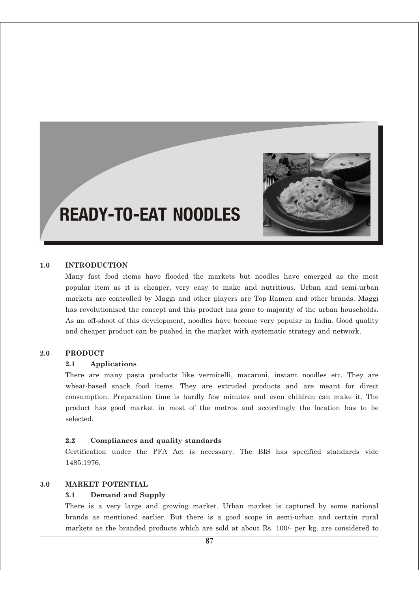

# READY-TO-EAT NOODLES

## **1.0 INTRODUCTION**

Many fast food items have flooded the markets but noodles have emerged as the most popular item as it is cheaper, very easy to make and nutritious. Urban and semi-urban markets are controlled by Maggi and other players are Top Ramen and other brands. Maggi has revolutionised the concept and this product has gone to majority of the urban households. As an off-shoot of this development, noodles have become very popular in India. Good quality and cheaper product can be pushed in the market with systematic strategy and network.

# **2.0 PRODUCT**

#### **2.1 Applications**

There are many pasta products like vermicelli, macaroni, instant noodles etc. They are wheat-based snack food items. They are extruded products and are meant for direct consumption. Preparation time is hardly few minutes and even children can make it. The product has good market in most of the metros and accordingly the location has to be selected.

#### **2.2 Compliances and quality standards**

Certification under the PFA Act is necessary. The BIS has specified standards vide 1485:1976.

## **3.0 MARKET POTENTIAL**

#### **3.1 Demand and Supply**

There is a very large and growing market. Urban market is captured by some national brands as mentioned earlier. But there is a good scope in semi-urban and certain rural markets as the branded products which are sold at about Rs. 100/- per kg. are considered to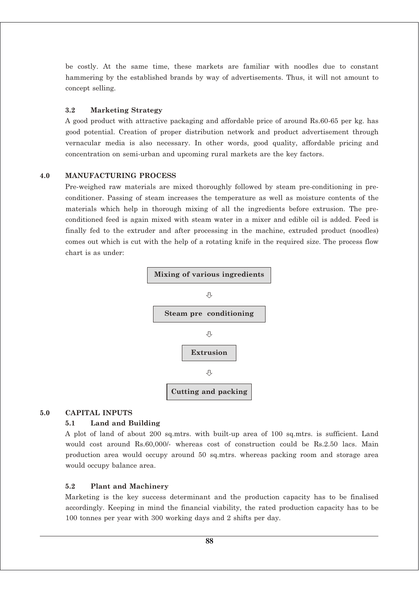be costly. At the same time, these markets are familiar with noodles due to constant hammering by the established brands by way of advertisements. Thus, it will not amount to concept selling.

#### **3.2 Marketing Strategy**

A good product with attractive packaging and affordable price of around Rs.60-65 per kg. has good potential. Creation of proper distribution network and product advertisement through vernacular media is also necessary. In other words, good quality, affordable pricing and concentration on semi-urban and upcoming rural markets are the key factors.

#### **4.0 MANUFACTURING PROCESS**

Pre-weighed raw materials are mixed thoroughly followed by steam pre-conditioning in preconditioner. Passing of steam increases the temperature as well as moisture contents of the materials which help in thorough mixing of all the ingredients before extrusion. The preconditioned feed is again mixed with steam water in a mixer and edible oil is added. Feed is finally fed to the extruder and after processing in the machine, extruded product (noodles) comes out which is cut with the help of a rotating knife in the required size. The process flow chart is as under:



#### **5.0 CAPITAL INPUTS**

## **5.1 Land and Building**

A plot of land of about 200 sq.mtrs. with built-up area of 100 sq.mtrs. is sufficient. Land would cost around Rs.60,000/- whereas cost of construction could be Rs.2.50 lacs. Main production area would occupy around 50 sq.mtrs. whereas packing room and storage area would occupy balance area.

#### **5.2 Plant and Machinery**

Marketing is the key success determinant and the production capacity has to be finalised accordingly. Keeping in mind the financial viability, the rated production capacity has to be 100 tonnes per year with 300 working days and 2 shifts per day.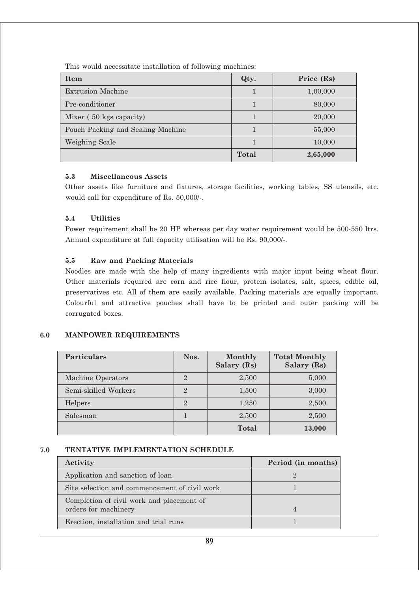**Item Qty. Price (Rs)** Extrusion Machine 1 1,00,000 Pre-conditioner 1 80,000 Mixer ( 50 kgs capacity)  $1 \t 1 \t 20,000$ Pouch Packing and Sealing Machine 1 1 55,000 Weighing Scale 1 10,000 **Total 2,65,000**

This would necessitate installation of following machines:

## **5.3 Miscellaneous Assets**

Other assets like furniture and fixtures, storage facilities, working tables, SS utensils, etc. would call for expenditure of Rs. 50,000/-.

## **5.4 Utilities**

Power requirement shall be 20 HP whereas per day water requirement would be 500-550 ltrs. Annual expenditure at full capacity utilisation will be Rs. 90,000/-.

## **5.5 Raw and Packing Materials**

Noodles are made with the help of many ingredients with major input being wheat flour. Other materials required are corn and rice flour, protein isolates, salt, spices, edible oil, preservatives etc. All of them are easily available. Packing materials are equally important. Colourful and attractive pouches shall have to be printed and outer packing will be corrugated boxes.

## **6.0 MANPOWER REQUIREMENTS**

| <b>Particulars</b>   | Nos.           | Monthly<br>Salary (Rs) | <b>Total Monthly</b><br>Salary (Rs) |
|----------------------|----------------|------------------------|-------------------------------------|
| Machine Operators    | $\overline{2}$ | 2,500                  | 5,000                               |
| Semi-skilled Workers | $\overline{2}$ | 1,500                  | 3,000                               |
| Helpers              | $\overline{2}$ | 1,250                  | 2,500                               |
| Salesman             |                | 2,500                  | 2,500                               |
|                      |                | Total                  | 13,000                              |

## **7.0 TENTATIVE IMPLEMENTATION SCHEDULE**

| Activity                                                          | Period (in months) |
|-------------------------------------------------------------------|--------------------|
| Application and sanction of loan                                  |                    |
| Site selection and commencement of civil work                     |                    |
| Completion of civil work and placement of<br>orders for machinery | $\overline{4}$     |
| Erection, installation and trial runs                             |                    |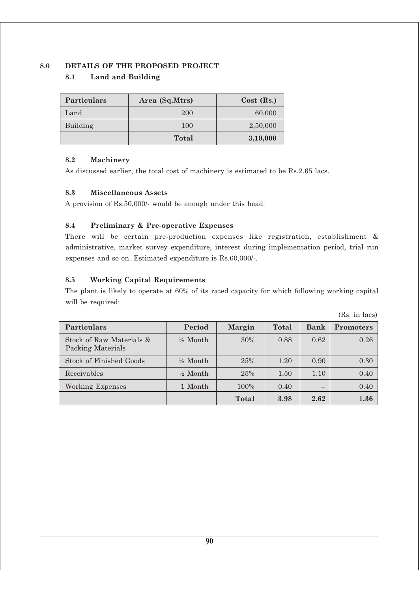## **8.0 DETAILS OF THE PROPOSED PROJECT**

# **8.1 Land and Building**

| <b>Particulars</b> | Area (Sq.Mtrs) | $Cost$ (Rs.) |
|--------------------|----------------|--------------|
| Land               | 200            | 60,000       |
| Building           | 100            | 2,50,000     |
|                    | <b>Total</b>   | 3,10,000     |

## **8.2 Machinery**

As discussed earlier, the total cost of machinery is estimated to be Rs.2.65 lacs.

## **8.3 Miscellaneous Assets**

A provision of Rs.50,000/- would be enough under this head.

## **8.4 Preliminary & Pre-operative Expenses**

There will be certain pre-production expenses like registration, establishment & administrative, market survey expenditure, interest during implementation period, trial run expenses and so on. Estimated expenditure is Rs.60,000/-.

# **8.5 Working Capital Requirements**

The plant is likely to operate at 60% of its rated capacity for which following working capital will be required:

|                                               |                     |        |       |       | $100.$ III IQUD  |
|-----------------------------------------------|---------------------|--------|-------|-------|------------------|
| <b>Particulars</b>                            | Period              | Margin | Total | Bank  | <b>Promoters</b> |
| Stock of Raw Materials &<br>Packing Materials | $\frac{1}{2}$ Month | 30%    | 0.88  | 0.62  | 0.26             |
| <b>Stock of Finished Goods</b>                | $\frac{1}{2}$ Month | 25%    | 1.20  | 0.90  | 0.30             |
| Receivables                                   | $\frac{1}{2}$ Month | 25%    | 1.50  | 1.10  | 0.40             |
| Working Expenses                              | 1 Month             | 100%   | 0.40  | $- -$ | 0.40             |
|                                               |                     | Total  | 3.98  | 2.62  | 1.36             |

(Rs. in lacs)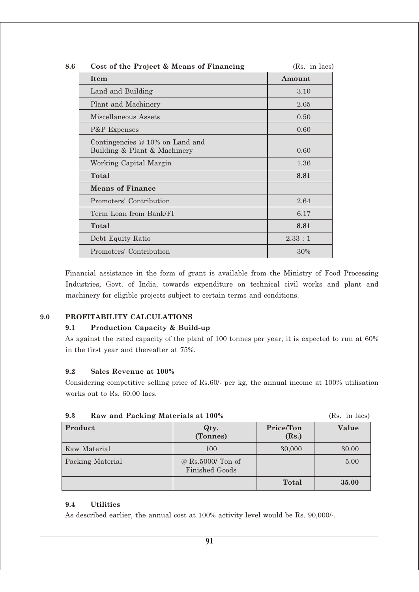| 8.6 | Cost of the Project & Means of Financing                          | (Rs. in lacs) |
|-----|-------------------------------------------------------------------|---------------|
|     | Item                                                              | Amount        |
|     | Land and Building                                                 | 3.10          |
|     | Plant and Machinery                                               | 2.65          |
|     | Miscellaneous Assets                                              | 0.50          |
|     | P&P Expenses                                                      | 0.60          |
|     | Contingencies $@10\%$ on Land and<br>Building & Plant & Machinery | 0.60          |
|     | Working Capital Margin                                            | 1.36          |
|     | Total                                                             | 8.81          |
|     | <b>Means of Finance</b>                                           |               |
|     | Promoters' Contribution                                           | 2.64          |
|     | Term Loan from Bank/FI                                            | 6.17          |
|     | Total                                                             | 8.81          |
|     | Debt Equity Ratio                                                 | 2.33:1        |
|     | Promoters' Contribution                                           | 30%           |

Financial assistance in the form of grant is available from the Ministry of Food Processing Industries, Govt. of India, towards expenditure on technical civil works and plant and machinery for eligible projects subject to certain terms and conditions.

# **9.0 PROFITABILITY CALCULATIONS**

## **9.1 Production Capacity & Build-up**

As against the rated capacity of the plant of 100 tonnes per year, it is expected to run at 60% in the first year and thereafter at 75%.

## **9.2 Sales Revenue at 100%**

Considering competitive selling price of Rs.60/- per kg, the annual income at 100% utilisation works out to Rs. 60.00 lacs.

|                         | $\left( \pm \cdot \right)$ and $\left( \pm \right)$ |                    |       |
|-------------------------|-----------------------------------------------------|--------------------|-------|
| Product                 | Qty.<br>(Tonnes)                                    | Price/Ton<br>(Rs.) | Value |
| <b>Raw Material</b>     | 100                                                 | 30,000             | 30.00 |
| <b>Packing Material</b> | @ Rs.5000/ Ton of<br><b>Finished Goods</b>          |                    | 5.00  |
|                         |                                                     | Total              | 35.00 |

#### **9.3 Raw and Packing Materials at 100%** (Rs. in lacs)

# **9.4 Utilities**

As described earlier, the annual cost at 100% activity level would be Rs. 90,000/-.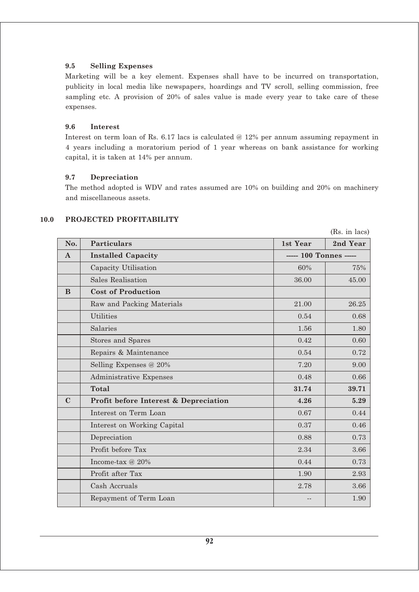## **9.5 Selling Expenses**

Marketing will be a key element. Expenses shall have to be incurred on transportation, publicity in local media like newspapers, hoardings and TV scroll, selling commission, free sampling etc. A provision of 20% of sales value is made every year to take care of these expenses.

## **9.6 Interest**

Interest on term loan of Rs. 6.17 lacs is calculated @ 12% per annum assuming repayment in 4 years including a moratorium period of 1 year whereas on bank assistance for working capital, it is taken at 14% per annum.

#### **9.7 Depreciation**

The method adopted is WDV and rates assumed are 10% on building and 20% on machinery and miscellaneous assets.

|              |                                       |                        | (Rs. in lacs) |
|--------------|---------------------------------------|------------------------|---------------|
| No.          | <b>Particulars</b>                    | 1st Year               | 2nd Year      |
| $\mathbf{A}$ | <b>Installed Capacity</b>             | ----- 100 Tonnes ----- |               |
|              | Capacity Utilisation                  | 60%                    | 75%           |
|              | <b>Sales Realisation</b>              | 36.00                  | 45.00         |
| B            | <b>Cost of Production</b>             |                        |               |
|              | Raw and Packing Materials             | 21.00                  | 26.25         |
|              | <b>Utilities</b>                      | 0.54                   | 0.68          |
|              | Salaries                              | 1.56                   | 1.80          |
|              | Stores and Spares                     | 0.42                   | 0.60          |
|              | Repairs & Maintenance                 | 0.54                   | 0.72          |
|              | Selling Expenses @ 20%                | 7.20                   | 9.00          |
|              | Administrative Expenses               | 0.48                   | 0.66          |
|              | Total                                 | 31.74                  | 39.71         |
| $\mathbf C$  | Profit before Interest & Depreciation | 4.26                   | 5.29          |
|              | Interest on Term Loan                 | 0.67                   | 0.44          |
|              | Interest on Working Capital           | 0.37                   | 0.46          |
|              | Depreciation                          | 0.88                   | 0.73          |
|              | Profit before Tax                     | 2.34                   | 3.66          |
|              | Income-tax $@20\%$                    | 0.44                   | 0.73          |
|              | Profit after Tax                      | 1.90                   | 2.93          |
|              | Cash Accruals                         | 2.78                   | 3.66          |
|              | Repayment of Term Loan                |                        | 1.90          |

#### **10.0 PROJECTED PROFITABILITY**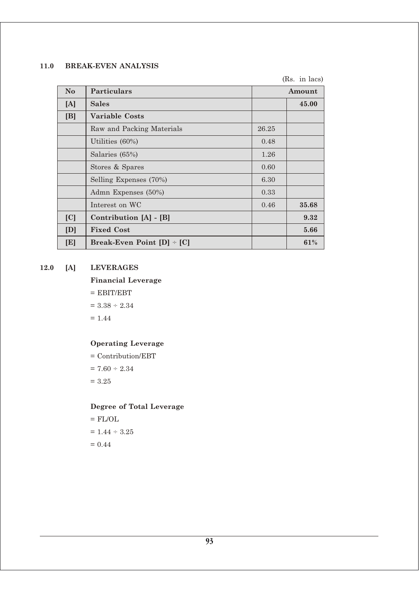# **11.0 BREAK-EVEN ANALYSIS**

(Rs. in lacs)

| N <sub>o</sub> | <b>Particulars</b>             |       | Amount |
|----------------|--------------------------------|-------|--------|
| [A]            | <b>Sales</b>                   |       | 45.00  |
| [B]            | Variable Costs                 |       |        |
|                | Raw and Packing Materials      | 26.25 |        |
|                | Utilities (60%)                | 0.48  |        |
|                | Salaries (65%)                 | 1.26  |        |
|                | Stores & Spares                | 0.60  |        |
|                | Selling Expenses (70%)         | 6.30  |        |
|                | Admn Expenses (50%)            | 0.33  |        |
|                | Interest on WC                 | 0.46  | 35.68  |
| [C]            | Contribution [A] - [B]         |       | 9.32   |
| [D]            | <b>Fixed Cost</b>              |       | 5.66   |
| [E]            | Break-Even Point $[D]$ = $[C]$ |       | 61%    |

# **12.0 [A] LEVERAGES**

## **Financial Leverage**

 $=$  EBIT/EBT

 $= 3.38 \div 2.34$ 

 $= 1.44$ 

# **Operating Leverage**

= Contribution/EBT  $= 7.60 \div 2.34$  $= 3.25$ 

## **Degree of Total Leverage**

 $=$  FL/OL  $= 1.44 \div 3.25$  $= 0.44$